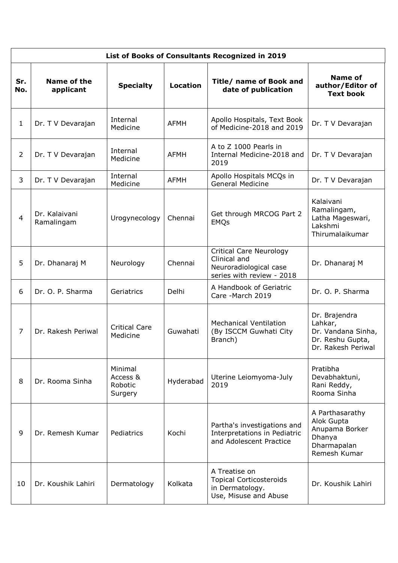| List of Books of Consultants Recognized in 2019 |                             |                                           |                 |                                                                                                       |                                                                                          |  |  |  |
|-------------------------------------------------|-----------------------------|-------------------------------------------|-----------------|-------------------------------------------------------------------------------------------------------|------------------------------------------------------------------------------------------|--|--|--|
| Sr.<br>No.                                      | Name of the<br>applicant    | <b>Specialty</b>                          | <b>Location</b> | Title/ name of Book and<br>date of publication                                                        | Name of<br>author/Editor of<br><b>Text book</b>                                          |  |  |  |
| $\mathbf{1}$                                    | Dr. T V Devarajan           | Internal<br>Medicine                      | <b>AFMH</b>     | Apollo Hospitals, Text Book<br>of Medicine-2018 and 2019                                              | Dr. T V Devarajan                                                                        |  |  |  |
| $\overline{2}$                                  | Dr. T V Devarajan           | Internal<br>Medicine                      | <b>AFMH</b>     | A to Z 1000 Pearls in<br>Internal Medicine-2018 and<br>2019                                           | Dr. T V Devarajan                                                                        |  |  |  |
| 3                                               | Dr. T V Devarajan           | Internal<br>Medicine                      | <b>AFMH</b>     | Apollo Hospitals MCQs in<br><b>General Medicine</b>                                                   | Dr. T V Devarajan                                                                        |  |  |  |
| $\overline{4}$                                  | Dr. Kalaivani<br>Ramalingam | Urogynecology                             | Chennai         | Get through MRCOG Part 2<br><b>EMQs</b>                                                               | Kalaivani<br>Ramalingam,<br>Latha Mageswari,<br>Lakshmi<br>Thirumalaikumar               |  |  |  |
| 5                                               | Dr. Dhanaraj M              | Neurology                                 | Chennai         | <b>Critical Care Neurology</b><br>Clinical and<br>Neuroradiological case<br>series with review - 2018 | Dr. Dhanaraj M                                                                           |  |  |  |
| 6                                               | Dr. O. P. Sharma            | Geriatrics                                | Delhi           | A Handbook of Geriatric<br>Care -March 2019                                                           | Dr. O. P. Sharma                                                                         |  |  |  |
| $\overline{7}$                                  | Dr. Rakesh Periwal          | <b>Critical Care</b><br>Medicine          | Guwahati        | <b>Mechanical Ventilation</b><br>(By ISCCM Guwhati City<br>Branch)                                    | Dr. Brajendra<br>Lahkar,<br>Dr. Vandana Sinha,<br>Dr. Reshu Gupta,<br>Dr. Rakesh Periwal |  |  |  |
| 8                                               | Dr. Rooma Sinha             | Minimal<br>Access &<br>Robotic<br>Surgery | Hyderabad       | Uterine Leiomyoma-July<br>2019                                                                        | Pratibha<br>Devabhaktuni,<br>Rani Reddy,<br>Rooma Sinha                                  |  |  |  |
| 9                                               | Dr. Remesh Kumar            | Pediatrics                                | Kochi           | Partha's investigations and<br>Interpretations in Pediatric<br>and Adolescent Practice                | A Parthasarathy<br>Alok Gupta<br>Anupama Borker<br>Dhanya<br>Dharmapalan<br>Remesh Kumar |  |  |  |
| 10                                              | Dr. Koushik Lahiri          | Dermatology                               | Kolkata         | A Treatise on<br><b>Topical Corticosteroids</b><br>in Dermatology.<br>Use, Misuse and Abuse           | Dr. Koushik Lahiri                                                                       |  |  |  |